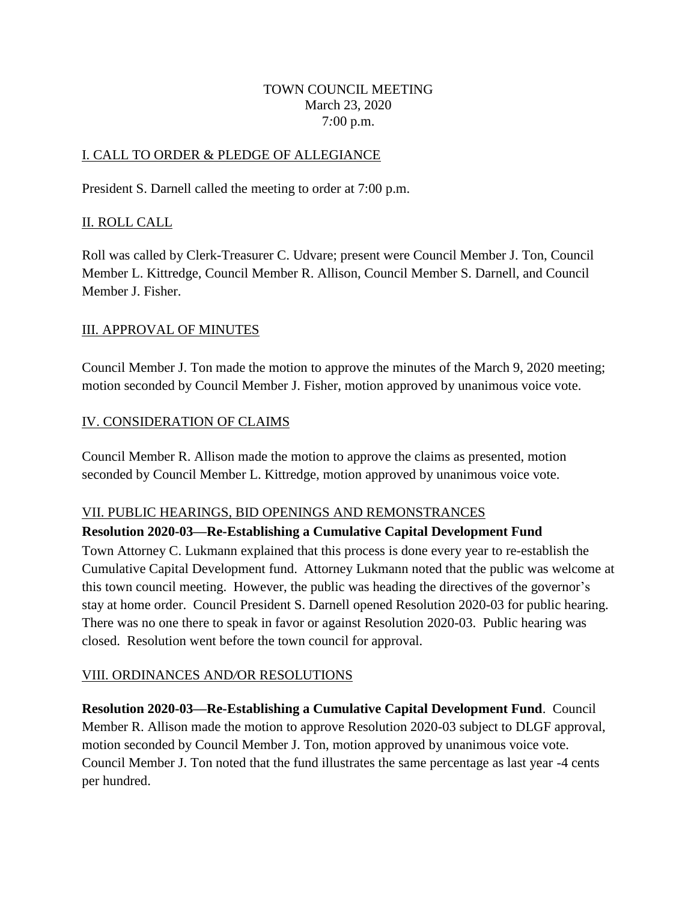#### TOWN COUNCIL MEETING March 23, 2020 7*:*00 p.m.

## I. CALL TO ORDER & PLEDGE OF ALLEGIANCE

President S. Darnell called the meeting to order at 7:00 p.m.

## II. ROLL CALL

Roll was called by Clerk-Treasurer C. Udvare; present were Council Member J. Ton, Council Member L. Kittredge, Council Member R. Allison, Council Member S. Darnell, and Council Member J. Fisher.

## III. APPROVAL OF MINUTES

Council Member J. Ton made the motion to approve the minutes of the March 9, 2020 meeting; motion seconded by Council Member J. Fisher, motion approved by unanimous voice vote.

# IV. CONSIDERATION OF CLAIMS

Council Member R. Allison made the motion to approve the claims as presented, motion seconded by Council Member L. Kittredge, motion approved by unanimous voice vote.

## VII. PUBLIC HEARINGS, BID OPENINGS AND REMONSTRANCES

## **Resolution 2020-03—Re-Establishing a Cumulative Capital Development Fund**

Town Attorney C. Lukmann explained that this process is done every year to re-establish the Cumulative Capital Development fund. Attorney Lukmann noted that the public was welcome at this town council meeting. However, the public was heading the directives of the governor's stay at home order. Council President S. Darnell opened Resolution 2020-03 for public hearing. There was no one there to speak in favor or against Resolution 2020-03. Public hearing was closed. Resolution went before the town council for approval.

## VIII. ORDINANCES AND*/*OR RESOLUTIONS

**Resolution 2020-03—Re-Establishing a Cumulative Capital Development Fund**. Council Member R. Allison made the motion to approve Resolution 2020-03 subject to DLGF approval, motion seconded by Council Member J. Ton, motion approved by unanimous voice vote. Council Member J. Ton noted that the fund illustrates the same percentage as last year -4 cents per hundred.